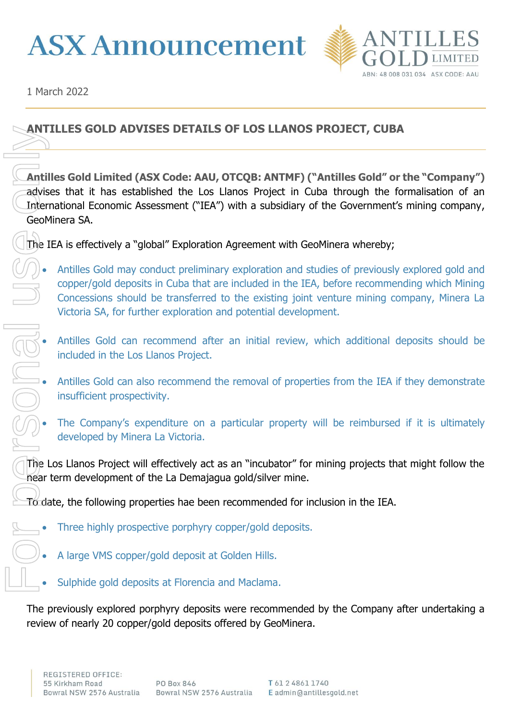## **ASX Announcement**



1 March 2022

## **ANTILLES GOLD ADVISES DETAILS OF LOS LLANOS PROJECT, CUBA**

**Antilles Gold Limited (ASX Code: AAU, OTCQB: ANTMF) ("Antilles Gold" or the "Company")**  advises that it has established the Los Llanos Project in Cuba through the formalisation of an International Economic Assessment ("IEA") with a subsidiary of the Government's mining company, GeoMinera SA. **Examples Solub ADVISES DETAILS OF LOS LLANOS I<br>
Cartilles Gold Limited (ASX Code: AAU, OTCQB: ANTMF) ("<br>
Conventional Economic Assessment ("IEA") with a subsidiary of<br>
GeoMinera SA.<br>
(The IEA is effectively a "global" Exp** 

The IEA is effectively a "global" Exploration Agreement with GeoMinera whereby;

- Antilles Gold may conduct preliminary exploration and studies of previously explored gold and copper/gold deposits in Cuba that are included in the IEA, before recommending which Mining Concessions should be transferred to the existing joint venture mining company, Minera La Victoria SA, for further exploration and potential development.
- Antilles Gold can recommend after an initial review, which additional deposits should be included in the Los Llanos Project.
- Antilles Gold can also recommend the removal of properties from the IEA if they demonstrate insufficient prospectivity.
- The Company's expenditure on a particular property will be reimbursed if it is ultimately developed by Minera La Victoria.

The Los Llanos Project will effectively act as an "incubator" for mining projects that might follow the near term development of the La Demajagua gold/silver mine.

 $T_0$  date, the following properties hae been recommended for inclusion in the IEA.

- Three highly prospective porphyry copper/gold deposits.
	- A large VMS copper/gold deposit at Golden Hills.
	- Sulphide gold deposits at Florencia and Maclama.

The previously explored porphyry deposits were recommended by the Company after undertaking a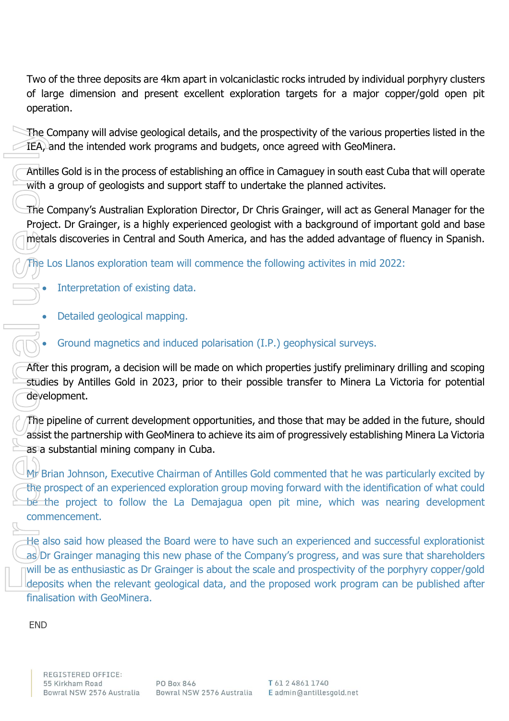Two of the three deposits are 4km apart in volcaniclastic rocks intruded by individual porphyry clusters of large dimension and present excellent exploration targets for a major copper/gold open pit operation.

The Company will advise geological details, and the prospectivity of the various properties listed in the IEA, and the intended work programs and budgets, once agreed with GeoMinera.

Antilles Gold is in the process of establishing an office in Camaguey in south east Cuba that will operate with a group of geologists and support staff to undertake the planned activites.

The Company's Australian Exploration Director, Dr Chris Grainger, will act as General Manager for the Project. Dr Grainger, is a highly experienced geologist with a background of important gold and base metals discoveries in Central and South America, and has the added advantage of fluency in Spanish.

The Los Llanos exploration team will commence the following activites in mid 2022:

- Interpretation of existing data.
- Detailed geological mapping.

• Ground magnetics and induced polarisation (I.P.) geophysical surveys.

After this program, a decision will be made on which properties justify preliminary drilling and scoping studies by Antilles Gold in 2023, prior to their possible transfer to Minera La Victoria for potential development.

The pipeline of current development opportunities, and those that may be added in the future, should assist the partnership with GeoMinera to achieve its aim of progressively establishing Minera La Victoria as a substantial mining company in Cuba.

Mr Brian Johnson, Executive Chairman of Antilles Gold commented that he was particularly excited by the prospect of an experienced exploration group moving forward with the identification of what could be the project to follow the La Demajagua open pit mine, which was nearing development commencement.

He also said how pleased the Board were to have such an experienced and successful explorationist as/Dr Grainger managing this new phase of the Company's progress, and was sure that shareholders will be as enthusiastic as Dr Grainger is about the scale and prospectivity of the porphyry copper/gold deposits when the relevant geological data, and the proposed work program can be published after finalisation with GeoMinera. The Contract Contract Contract Contract Contract Contract Contract Contract Contract Contract Contract Contract Contract Contract Contract Contract Contract Contract Contract Contract Contract Contract Contract Contract Co

**END**